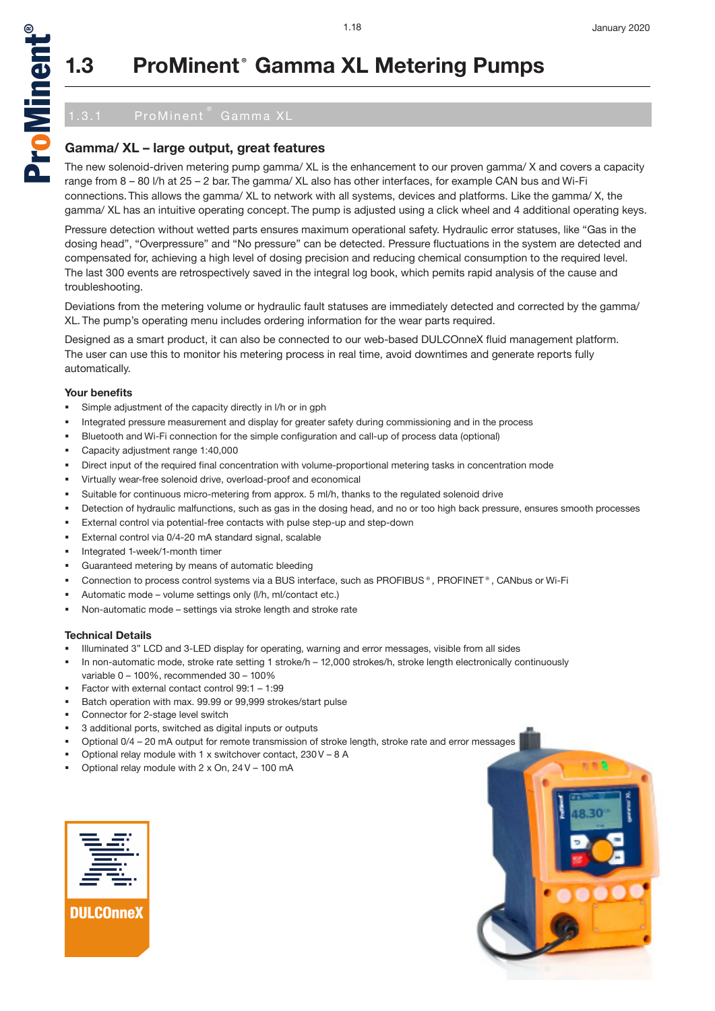

## **1.3 ProMinent® Gamma XL Metering Pumps**

### **Gamma/ XL – large output, great features**

The new solenoid-driven metering pump gamma/ XL is the enhancement to our proven gamma/ X and covers a capacity range from 8 – 80 l/h at 25 – 2 bar. The gamma/ XL also has other interfaces, for example CAN bus and Wi-Fi connections. This allows the gamma/ XL to network with all systems, devices and platforms. Like the gamma/ X, the gamma/ XL has an intuitive operating concept. The pump is adjusted using a click wheel and 4 additional operating keys.

Pressure detection without wetted parts ensures maximum operational safety. Hydraulic error statuses, like "Gas in the dosing head", "Overpressure" and "No pressure" can be detected. Pressure fluctuations in the system are detected and compensated for, achieving a high level of dosing precision and reducing chemical consumption to the required level. The last 300 events are retrospectively saved in the integral log book, which pemits rapid analysis of the cause and troubleshooting.

Deviations from the metering volume or hydraulic fault statuses are immediately detected and corrected by the gamma/ XL. The pump's operating menu includes ordering information for the wear parts required.

Designed as a smart product, it can also be connected to our web-based DULCOnneX fluid management platform. The user can use this to monitor his metering process in real time, avoid downtimes and generate reports fully automatically.

#### **Your benefits**

- Simple adjustment of the capacity directly in l/h or in gph
- Integrated pressure measurement and display for greater safety during commissioning and in the process
- Bluetooth and Wi-Fi connection for the simple configuration and call-up of process data (optional)
- Capacity adjustment range 1:40,000
- Direct input of the required final concentration with volume-proportional metering tasks in concentration mode
- Virtually wear-free solenoid drive, overload-proof and economical
- Suitable for continuous micro-metering from approx. 5 ml/h, thanks to the regulated solenoid drive
- Detection of hydraulic malfunctions, such as gas in the dosing head, and no or too high back pressure, ensures smooth processes
- External control via potential-free contacts with pulse step-up and step-down
- External control via 0/4-20 mA standard signal, scalable
- Integrated 1-week/1-month timer
- Guaranteed metering by means of automatic bleeding
- Connection to process control systems via a BUS interface, such as PROFIBUS®, PROFINET®, CANbus or Wi-Fi
- Automatic mode volume settings only (l/h, ml/contact etc.)
- Non-automatic mode settings via stroke length and stroke rate

#### **Technical Details**

- Illuminated 3" LCD and 3-LED display for operating, warning and error messages, visible from all sides
- In non-automatic mode, stroke rate setting 1 stroke/h 12,000 strokes/h, stroke length electronically continuously variable 0 – 100%, recommended 30 – 100%
- Factor with external contact control 99:1 1:99
- Batch operation with max. 99.99 or 99,999 strokes/start pulse
- Connector for 2-stage level switch
- 3 additional ports, switched as digital inputs or outputs
- Optional 0/4 20 mA output for remote transmission of stroke length, stroke rate and error messages
- Optional relay module with 1 x switchover contact, 230 V 8 A
- Optional relay module with 2 x On, 24 V 100 mA



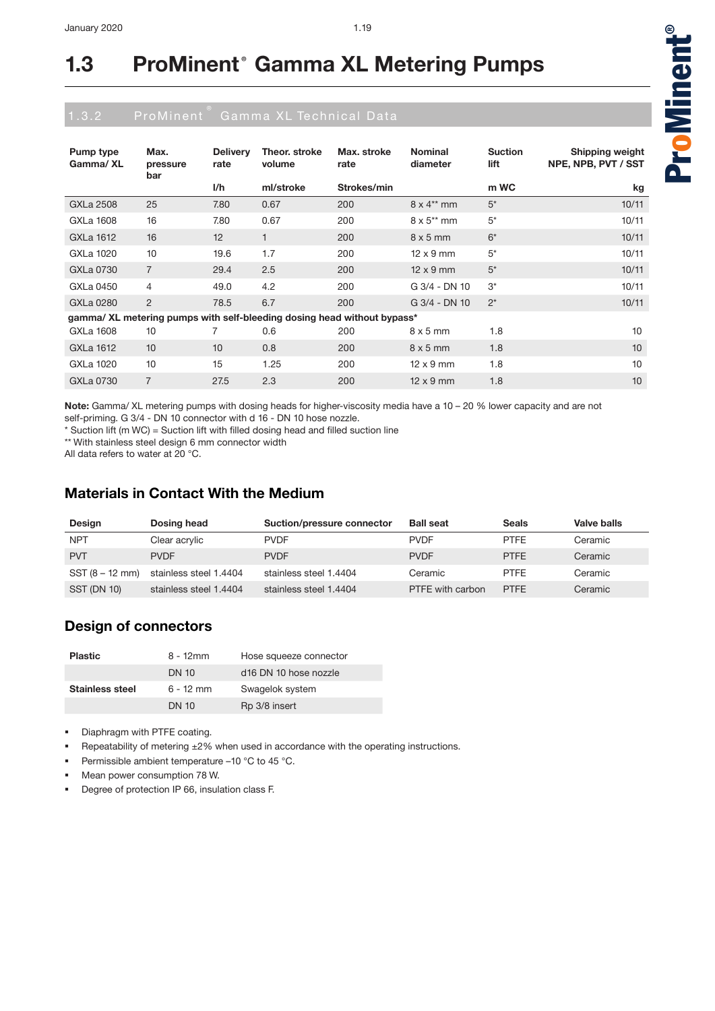| Pump type<br>Gamma/XL                                                   | Max.<br>pressure<br>bar | <b>Delivery</b><br>rate | Theor. stroke<br>volume | Max. stroke<br>rate | <b>Nominal</b><br>diameter | <b>Suction</b><br>lift | <b>Shipping weight</b><br>NPE, NPB, PVT / SST |  |  |  |
|-------------------------------------------------------------------------|-------------------------|-------------------------|-------------------------|---------------------|----------------------------|------------------------|-----------------------------------------------|--|--|--|
|                                                                         |                         | I/h                     | ml/stroke               | Strokes/min         |                            | m WC                   | kg                                            |  |  |  |
| GXLa 2508                                                               | 25                      | 7.80                    | 0.67                    | 200                 | $8 \times 4^{**}$ mm       | $5^*$                  | 10/11                                         |  |  |  |
| GXLa 1608                                                               | 16                      | 7.80                    | 0.67                    | 200                 | $8 \times 5^{**}$ mm       | $5*$                   | 10/11                                         |  |  |  |
| GXLa 1612                                                               | 16                      | 12                      | $\mathbf{1}$            | 200                 | $8 \times 5$ mm            | $6*$                   | 10/11                                         |  |  |  |
| GXLa 1020                                                               | 10                      | 19.6                    | 1.7                     | 200                 | $12 \times 9$ mm           | $5*$                   | 10/11                                         |  |  |  |
| GXLa 0730                                                               | $\overline{7}$          | 29.4                    | 2.5                     | 200                 | $12 \times 9$ mm           | $5^*$                  | 10/11                                         |  |  |  |
| GXLa 0450                                                               | $\overline{4}$          | 49.0                    | 4.2                     | 200                 | G 3/4 - DN 10              | $3^*$                  | 10/11                                         |  |  |  |
| GXLa 0280                                                               | $\overline{2}$          | 78.5                    | 6.7                     | 200                 | G 3/4 - DN 10              | $2^*$                  | 10/11                                         |  |  |  |
| gamma/ XL metering pumps with self-bleeding dosing head without bypass* |                         |                         |                         |                     |                            |                        |                                               |  |  |  |
| GXLa 1608                                                               | 10                      | 7                       | 0.6                     | 200                 | $8 \times 5$ mm            | 1.8                    | 10                                            |  |  |  |
| GXLa 1612                                                               | 10                      | 10                      | 0.8                     | 200                 | $8 \times 5$ mm            | 1.8                    | 10                                            |  |  |  |
| GXLa 1020                                                               | 10                      | 15                      | 1.25                    | 200                 | $12 \times 9$ mm           | 1.8                    | 10                                            |  |  |  |
| GXLa 0730                                                               | $\overline{7}$          | 27.5                    | 2.3                     | 200                 | $12 \times 9$ mm           | 1.8                    | 10                                            |  |  |  |

**Note:** Gamma/ XL metering pumps with dosing heads for higher-viscosity media have a 10 – 20 % lower capacity and are not self-priming. G 3/4 - DN 10 connector with d 16 - DN 10 hose nozzle.

\* Suction lift (m WC) = Suction lift with filled dosing head and filled suction line

\*\* With stainless steel design 6 mm connector width

All data refers to water at 20 °C.

### **Materials in Contact With the Medium**

| Design             | Dosing head            | Suction/pressure connector | <b>Ball seat</b> | <b>Seals</b> | Valve balls |
|--------------------|------------------------|----------------------------|------------------|--------------|-------------|
| <b>NPT</b>         | Clear acrylic          | <b>PVDF</b>                | <b>PVDF</b>      | <b>PTFF</b>  | Ceramic     |
| <b>PVT</b>         | <b>PVDF</b>            | <b>PVDF</b>                | <b>PVDF</b>      | <b>PTFF</b>  | Ceramic     |
| SST (8 – 12 mm)    | stainless steel 1.4404 | stainless steel 1.4404     | Ceramic          | <b>PTFF</b>  | Ceramic     |
| <b>SST (DN 10)</b> | stainless steel 1.4404 | stainless steel 1.4404     | PTFE with carbon | <b>PTFF</b>  | Ceramic     |

### **Design of connectors**

| <b>Plastic</b>  | $8 - 12$ mm  | Hose squeeze connector                       |
|-----------------|--------------|----------------------------------------------|
|                 | <b>DN 10</b> | d <sub>16</sub> DN <sub>10</sub> hose nozzle |
| Stainless steel | $6 - 12$ mm  | Swagelok system                              |
|                 | <b>DN 10</b> | Rp 3/8 insert                                |

**Diaphragm with PTFE coating.** 

- Repeatability of metering ±2% when used in accordance with the operating instructions.
- Permissible ambient temperature –10 °C to 45 °C.
- Mean power consumption 78 W.
- Degree of protection IP 66, insulation class F.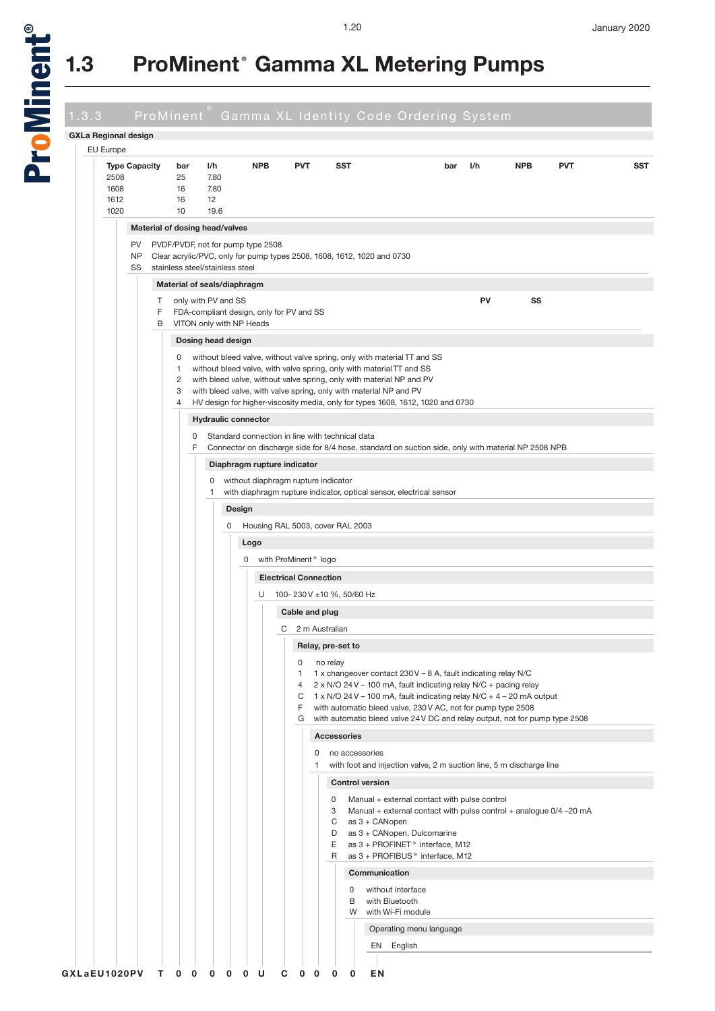

a<br>D

# **1.3 ProMinent® Gamma XL Metering Pumps**

| <b>GXLa Regional design</b>                  |   |                                      |                            |                                   |                                          |                                                                                                                                                       |                                                                                                                    |     |            |            |  |
|----------------------------------------------|---|--------------------------------------|----------------------------|-----------------------------------|------------------------------------------|-------------------------------------------------------------------------------------------------------------------------------------------------------|--------------------------------------------------------------------------------------------------------------------|-----|------------|------------|--|
| <b>EU Europe</b>                             |   |                                      |                            |                                   |                                          |                                                                                                                                                       |                                                                                                                    |     |            |            |  |
| <b>Type Capacity</b><br>2508<br>1608<br>1612 |   | bar<br>25<br>16<br>16                | l/h<br>7.80<br>7.80<br>12  | <b>NPB</b>                        | <b>PVT</b>                               | SST                                                                                                                                                   | bar                                                                                                                | I/h | <b>NPB</b> | <b>PVT</b> |  |
| 1020                                         |   | 10<br>Material of dosing head/valves | 19.6                       |                                   |                                          |                                                                                                                                                       |                                                                                                                    |     |            |            |  |
| PV                                           |   |                                      |                            | PVDF/PVDF, not for pump type 2508 |                                          |                                                                                                                                                       |                                                                                                                    |     |            |            |  |
| NP                                           |   |                                      |                            |                                   |                                          | Clear acrylic/PVC, only for pump types 2508, 1608, 1612, 1020 and 0730                                                                                |                                                                                                                    |     |            |            |  |
| SS                                           |   | stainless steel/stainless steel      |                            |                                   |                                          |                                                                                                                                                       |                                                                                                                    |     |            |            |  |
|                                              | Τ | Material of seals/diaphragm          | only with PV and SS        |                                   |                                          |                                                                                                                                                       |                                                                                                                    | PV  | SS         |            |  |
|                                              | F |                                      |                            |                                   | FDA-compliant design, only for PV and SS |                                                                                                                                                       |                                                                                                                    |     |            |            |  |
|                                              | B |                                      | VITON only with NP Heads   |                                   |                                          |                                                                                                                                                       |                                                                                                                    |     |            |            |  |
|                                              |   | 0                                    | Dosing head design         |                                   |                                          | without bleed valve, without valve spring, only with material TT and SS                                                                               |                                                                                                                    |     |            |            |  |
|                                              |   | $\mathbf{1}$                         |                            |                                   |                                          | without bleed valve, with valve spring, only with material TT and SS                                                                                  |                                                                                                                    |     |            |            |  |
|                                              |   | 2<br>3                               |                            |                                   |                                          | with bleed valve, without valve spring, only with material NP and PV<br>with bleed valve, with valve spring, only with material NP and PV             |                                                                                                                    |     |            |            |  |
|                                              |   | 4                                    |                            |                                   |                                          | HV design for higher-viscosity media, only for types 1608, 1612, 1020 and 0730                                                                        |                                                                                                                    |     |            |            |  |
|                                              |   |                                      | <b>Hydraulic connector</b> |                                   |                                          |                                                                                                                                                       |                                                                                                                    |     |            |            |  |
|                                              |   | 0<br>F                               |                            |                                   |                                          | Standard connection in line with technical data<br>Connector on discharge side for 8/4 hose, standard on suction side, only with material NP 2508 NPB |                                                                                                                    |     |            |            |  |
|                                              |   |                                      |                            | Diaphragm rupture indicator       |                                          |                                                                                                                                                       |                                                                                                                    |     |            |            |  |
|                                              |   |                                      | 0                          |                                   | without diaphragm rupture indicator      |                                                                                                                                                       |                                                                                                                    |     |            |            |  |
|                                              |   |                                      | 1                          |                                   |                                          | with diaphragm rupture indicator, optical sensor, electrical sensor                                                                                   |                                                                                                                    |     |            |            |  |
|                                              |   |                                      | Design<br>0                |                                   | Housing RAL 5003, cover RAL 2003         |                                                                                                                                                       |                                                                                                                    |     |            |            |  |
|                                              |   |                                      |                            | Logo                              |                                          |                                                                                                                                                       |                                                                                                                    |     |            |            |  |
|                                              |   |                                      |                            | 0                                 | with ProMinent <sup>®</sup> logo         |                                                                                                                                                       |                                                                                                                    |     |            |            |  |
|                                              |   |                                      |                            |                                   | <b>Electrical Connection</b>             |                                                                                                                                                       |                                                                                                                    |     |            |            |  |
|                                              |   |                                      |                            | U                                 |                                          | 100-230V ±10 %, 50/60 Hz                                                                                                                              |                                                                                                                    |     |            |            |  |
|                                              |   |                                      |                            |                                   | Cable and plug                           |                                                                                                                                                       |                                                                                                                    |     |            |            |  |
|                                              |   |                                      |                            |                                   | C 2 m Australian                         |                                                                                                                                                       |                                                                                                                    |     |            |            |  |
|                                              |   |                                      |                            |                                   |                                          | Relay, pre-set to                                                                                                                                     |                                                                                                                    |     |            |            |  |
|                                              |   |                                      |                            |                                   | 0<br>1                                   | no relay<br>1 x changeover contact 230 V – 8 A, fault indicating relay N/C                                                                            |                                                                                                                    |     |            |            |  |
|                                              |   |                                      |                            |                                   | 4<br>C                                   | 2 x N/O 24 V - 100 mA, fault indicating relay N/C + pacing relay<br>$1 \times N/O$ 24 V – 100 mA, fault indicating relay N/C + 4 – 20 mA output       |                                                                                                                    |     |            |            |  |
|                                              |   |                                      |                            |                                   | F.                                       | with automatic bleed valve, 230 V AC, not for pump type 2508                                                                                          |                                                                                                                    |     |            |            |  |
|                                              |   |                                      |                            |                                   | G                                        | with automatic bleed valve 24 V DC and relay output, not for pump type 2508<br><b>Accessories</b>                                                     |                                                                                                                    |     |            |            |  |
|                                              |   |                                      |                            |                                   | 0                                        | no accessories                                                                                                                                        |                                                                                                                    |     |            |            |  |
|                                              |   |                                      |                            |                                   | 1                                        | with foot and injection valve, 2 m suction line, 5 m discharge line                                                                                   |                                                                                                                    |     |            |            |  |
|                                              |   |                                      |                            |                                   |                                          | <b>Control version</b>                                                                                                                                |                                                                                                                    |     |            |            |  |
|                                              |   |                                      |                            |                                   |                                          | 0<br>3                                                                                                                                                | Manual + external contact with pulse control<br>Manual + external contact with pulse control + analogue 0/4 -20 mA |     |            |            |  |
|                                              |   |                                      |                            |                                   |                                          | as 3 + CANopen<br>C                                                                                                                                   |                                                                                                                    |     |            |            |  |
|                                              |   |                                      |                            |                                   |                                          | D<br>E                                                                                                                                                | as 3 + CANopen, Dulcomarine<br>as 3 + PROFINET <sup>®</sup> interface, M12                                         |     |            |            |  |
|                                              |   |                                      |                            |                                   |                                          | R                                                                                                                                                     | as 3 + PROFIBUS <sup>®</sup> interface, M12                                                                        |     |            |            |  |
|                                              |   |                                      |                            |                                   |                                          | Communication                                                                                                                                         |                                                                                                                    |     |            |            |  |
|                                              |   |                                      |                            |                                   |                                          | $\mathbf 0$<br>B<br>with Bluetooth                                                                                                                    | without interface                                                                                                  |     |            |            |  |
|                                              |   |                                      |                            |                                   |                                          | W                                                                                                                                                     | with Wi-Fi module                                                                                                  |     |            |            |  |
|                                              |   |                                      |                            |                                   |                                          |                                                                                                                                                       | Operating menu language                                                                                            |     |            |            |  |
|                                              |   |                                      |                            |                                   |                                          | EN                                                                                                                                                    | English                                                                                                            |     |            |            |  |